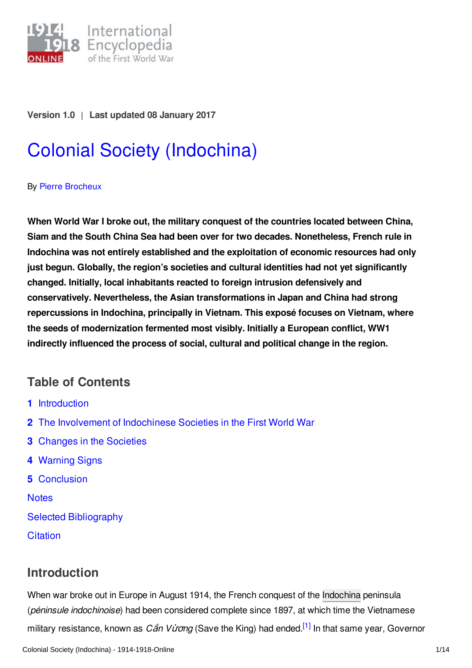

**Version 1.0** | **Last updated 08 January 2017**

# Colonial Society [\(Indochina\)](http://encyclopedia.1914-1918-online.net/article/colonial_society_indochina)

#### By Pierre [Brocheux](http://encyclopedia.1914-1918-online.net/contributors/Pierre_Brocheux)

**When World War I broke out, the military conquest of the countries located between China, Siam and the South China Sea had been over for two decades. Nonetheless, French rule in Indochina was not entirely established and the exploitation of economic resources had only just begun. Globally, the region's societies and cultural identities had not yet significantly changed. Initially, local inhabitants reacted to foreign intrusion defensively and conservatively. Nevertheless, the Asian transformations in Japan and China had strong repercussions in Indochina, principally in Vietnam. This exposé focuses on Vietnam, where the seeds of modernization fermented most visibly. Initially a European conflict, WW1 indirectly influenced the process of social, cultural and political change in the region.**

# **Table of Contents**

- **1** [Introduction](#page-0-0)
- **2** The Involvement of [Indochinese](#page-1-0) Societies in the First World War
- **3** [Changes](#page-2-0) in the Societies
- **4** [Warning](#page-4-0) Signs
- **5** [Conclusion](#page-7-0)

**[Notes](#page-9-0)** 

Selected [Bibliography](#page-11-0)

**[Citation](#page-12-0)** 

# <span id="page-0-0"></span>**Introduction**

<span id="page-0-1"></span>When war broke out in Europe in August 1914, the French conquest of the [Indochina](http://encyclopedia.1914-1918-online.net/article/indochina) peninsula (*péninsule indochinoise*) had been considered complete since 1897, at which time the Vietnamese military resistance, known as *C*ầ*n V*ừơ*ng* (Save the King) had ended. [\[1\]](#page-9-1) In that same year, Governor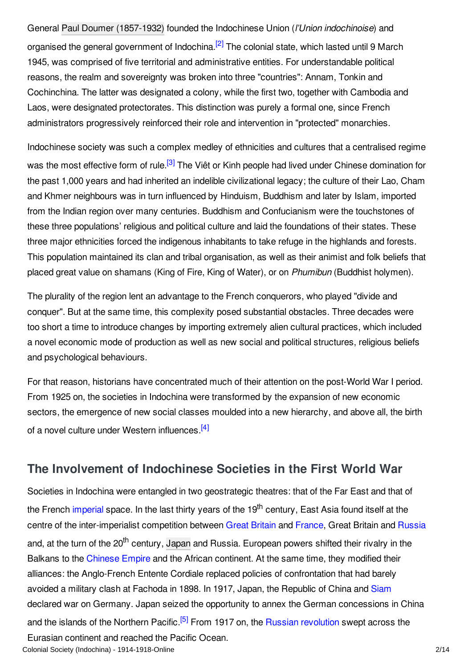<span id="page-1-1"></span>General Paul Doumer [\(1857-1932\)](http://encyclopedia.1914-1918-online.net/index/names/118672363) founded the Indochinese Union (*l'Union indochinoise*) and organised the general government of Indochina.<sup>[\[2\]](#page-9-2)</sup> The colonial state, which lasted until 9 March 1945, was comprised of five territorial and administrative entities. For understandable political reasons, the realm and sovereignty was broken into three "countries": Annam, Tonkin and Cochinchina. The latter was designated a colony, while the first two, together with Cambodia and Laos, were designated protectorates. This distinction was purely a formal one, since French administrators progressively reinforced their role and intervention in "protected" monarchies.

<span id="page-1-2"></span>Indochinese society was such a complex medley of ethnicities and cultures that a centralised regime was the most effective form of rule.<sup>[\[3\]](#page-9-3)</sup> The Viêt or Kinh people had lived under Chinese domination for the past 1,000 years and had inherited an indelible civilizational legacy; the culture of their Lao, Cham and Khmer neighbours was in turn influenced by Hinduism, Buddhism and later by Islam, imported from the Indian region over many centuries. Buddhism and Confucianism were the touchstones of these three populations' religious and political culture and laid the foundations of their states. These three major ethnicities forced the indigenous inhabitants to take refuge in the highlands and forests. This population maintained its clan and tribal organisation, as well as their animist and folk beliefs that placed great value on shamans (King of Fire, King of Water), or on *Phumibun* (Buddhist holymen).

The plurality of the region lent an advantage to the French conquerors, who played "divide and conquer". But at the same time, this complexity posed substantial obstacles. Three decades were too short a time to introduce changes by importing extremely alien cultural practices, which included a novel economic mode of production as well as new social and political structures, religious beliefs and psychological behaviours.

For that reason, historians have concentrated much of their attention on the post-World War I period. From 1925 on, the societies in Indochina were transformed by the expansion of new economic sectors, the emergence of new social classes moulded into a new hierarchy, and above all, the birth of a novel culture under Western influences.<sup>[\[4\]](#page-9-4)</sup>

# <span id="page-1-3"></span><span id="page-1-0"></span>**The Involvement of Indochinese Societies in the First World War**

<span id="page-1-4"></span>Societies in Indochina were entangled in two geostrategic theatres: that of the Far East and that of the French [imperial](http://encyclopedia.1914-1918-online.net/article/imperialism) space. In the last thirty years of the 19<sup>th</sup> century, East Asia found itself at the centre of the inter-imperialist competition between Great [Britain](http://encyclopedia.1914-1918-online.net/article/great_britain) and [France](http://encyclopedia.1914-1918-online.net/article/france), Great Britain and [Russia](http://encyclopedia.1914-1918-online.net/article/russian_empire) and, at the turn of the 20<sup>th</sup> century, [Japan](http://encyclopedia.1914-1918-online.net/article/japanese_empire) and Russia. European powers shifted their rivalry in the Balkans to the [Chinese](http://encyclopedia.1914-1918-online.net/article/china) Empire and the African continent. At the same time, they modified their alliances: the Anglo-French Entente Cordiale replaced policies of confrontation that had barely avoided a military clash at Fachoda in 1898. In 1917, Japan, the Republic of China and [Siam](http://encyclopedia.1914-1918-online.net/article/siam) declared war on Germany. Japan seized the opportunity to annex the German concessions in China and the islands of the Northern Pacific.<sup>[\[5\]](#page-9-5)</sup> From 1917 on, the Russian [revolution](http://encyclopedia.1914-1918-online.net/article/revolutions_russian_empire) swept across the Eurasian continent and reached the Pacific Ocean. Colonial Society (Indochina) - 1914-1918-Online 2/14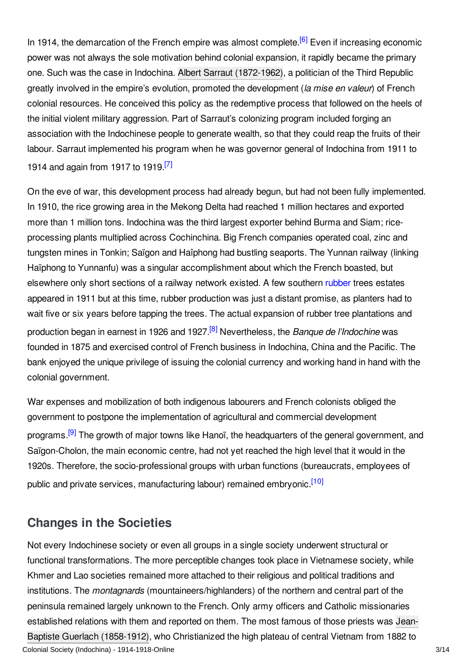<span id="page-2-1"></span>In 1914, the demarcation of the French empire was almost complete.<sup>[\[6\]](#page-9-6)</sup> Even if increasing economic power was not always the sole motivation behind colonial expansion, it rapidly became the primary one. Such was the case in Indochina. Albert Sarraut [\(1872-1962\)](http://encyclopedia.1914-1918-online.net/index/names/11946036X), a politician of the Third Republic greatly involved in the empire's evolution, promoted the development (*la mise en valeur*) of French colonial resources. He conceived this policy as the redemptive process that followed on the heels of the initial violent military aggression. Part of Sarraut's colonizing program included forging an association with the Indochinese people to generate wealth, so that they could reap the fruits of their labour. Sarraut implemented his program when he was governor general of Indochina from 1911 to 1914 and again from 1917 to 1919.<sup>[\[7\]](#page-9-7)</sup>

<span id="page-2-2"></span>On the eve of war, this development process had already begun, but had not been fully implemented. In 1910, the rice growing area in the Mekong Delta had reached 1 million hectares and exported more than 1 million tons. Indochina was the third largest exporter behind Burma and Siam; riceprocessing plants multiplied across Cochinchina. Big French companies operated coal, zinc and tungsten mines in Tonkin; Saïgon and Haîphong had bustling seaports. The Yunnan railway (linking Haïphong to Yunnanfu) was a singular accomplishment about which the French boasted, but elsewhere only short sections of a railway network existed. A few southern [rubber](http://encyclopedia.1914-1918-online.net/article/rubber) trees estates appeared in 1911 but at this time, rubber production was just a distant promise, as planters had to wait five or six years before tapping the trees. The actual expansion of rubber tree plantations and production began in earnest in 1926 and 1927. [\[8\]](#page-9-8) Nevertheless, the *Banque de l'Indochine* was founded in 1875 and exercised control of French business in Indochina, China and the Pacific. The bank enjoyed the unique privilege of issuing the colonial currency and working hand in hand with the colonial government.

<span id="page-2-4"></span><span id="page-2-3"></span>War expenses and mobilization of both indigenous labourers and French colonists obliged the government to postpone the implementation of agricultural and commercial development programs.<sup>[\[9\]](#page-9-9)</sup> The growth of major towns like Hanoï, the headquarters of the general government, and Saïgon-Cholon, the main economic centre, had not yet reached the high level that it would in the 1920s. Therefore, the socio-professional groups with urban functions (bureaucrats, employees of public and private services, manufacturing labour) remained embryonic.<sup>[\[10\]](#page-9-10)</sup>

# <span id="page-2-5"></span><span id="page-2-0"></span>**Changes in the Societies**

Not every Indochinese society or even all groups in a single society underwent structural or functional transformations. The more perceptible changes took place in Vietnamese society, while Khmer and Lao societies remained more attached to their religious and political traditions and institutions. The *montagnards* (mountaineers/highlanders) of the northern and central part of the peninsula remained largely unknown to the French. Only army officers and Catholic missionaries established relations with them and reported on them. The most famous of those priests was Jean-Baptiste Guerlach (1858-1912), who [Christianized](http://encyclopedia.1914-1918-online.net/index/names/1069336823) the high plateau of central Vietnam from 1882 to Colonial Society (Indochina) - 1914-1918-Online 3/14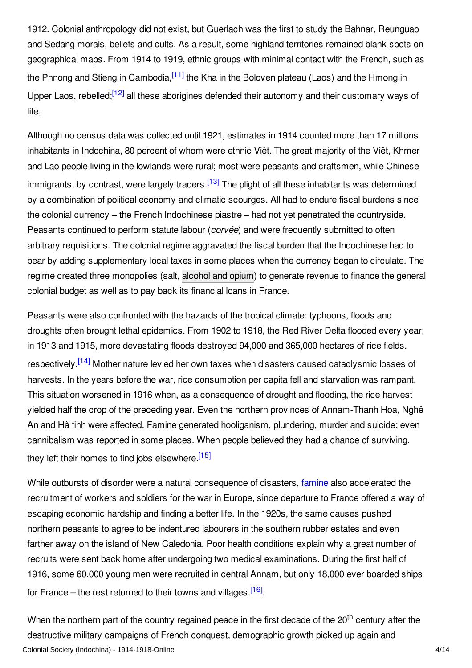<span id="page-3-0"></span>1912. Colonial anthropology did not exist, but Guerlach was the first to study the Bahnar, Reunguao and Sedang morals, beliefs and cults. As a result, some highland territories remained blank spots on geographical maps. From 1914 to 1919, ethnic groups with minimal contact with the French, such as the Phnong and Stieng in Cambodia,<sup>[\[11\]](#page-9-11)</sup> the Kha in the Boloven plateau (Laos) and the Hmong in Upper Laos, rebelled;<sup>[\[12\]](#page-9-12)</sup> all these aborigines defended their autonomy and their customary ways of life.

<span id="page-3-2"></span><span id="page-3-1"></span>Although no census data was collected until 1921, estimates in 1914 counted more than 17 millions inhabitants in Indochina, 80 percent of whom were ethnic Viêt. The great majority of the Viêt, Khmer and Lao people living in the lowlands were rural; most were peasants and craftsmen, while Chinese immigrants, by contrast, were largely traders.<sup>[\[13\]](#page-9-13)</sup> The plight of all these inhabitants was determined by a combination of political economy and climatic scourges. All had to endure fiscal burdens since the colonial currency – the French Indochinese piastre – had not yet penetrated the countryside. Peasants continued to perform statute labour (*corvée*) and were frequently submitted to often arbitrary requisitions. The colonial regime aggravated the fiscal burden that the Indochinese had to bear by adding supplementary local taxes in some places when the currency began to circulate. The regime created three monopolies (salt, [alcohol](http://encyclopedia.1914-1918-online.net/article/drugs) and opium) to generate revenue to finance the general colonial budget as well as to pay back its financial loans in France.

<span id="page-3-3"></span>Peasants were also confronted with the hazards of the tropical climate: typhoons, floods and droughts often brought lethal epidemics. From 1902 to 1918, the Red River Delta flooded every year; in 1913 and 1915, more devastating floods destroyed 94,000 and 365,000 hectares of rice fields, respectively.<sup>[\[14\]](#page-9-14)</sup> Mother nature levied her own taxes when disasters caused cataclysmic losses of harvests. In the years before the war, rice consumption per capita fell and starvation was rampant. This situation worsened in 1916 when, as a consequence of drought and flooding, the rice harvest yielded half the crop of the preceding year. Even the northern provinces of Annam-Thanh Hoa, Nghê An and Hà tinh were affected. Famine generated hooliganism, plundering, murder and suicide; even cannibalism was reported in some places. When people believed they had a chance of surviving, they left their homes to find jobs elsewhere.<sup>[\[15\]](#page-10-0)</sup>

<span id="page-3-4"></span>While outbursts of disorder were a natural consequence of disasters, [famine](http://encyclopedia.1914-1918-online.net/article/food_and_nutrition_indochina) also accelerated the recruitment of workers and soldiers for the war in Europe, since departure to France offered a way of escaping economic hardship and finding a better life. In the 1920s, the same causes pushed northern peasants to agree to be indentured labourers in the southern rubber estates and even farther away on the island of New Caledonia. Poor health conditions explain why a great number of recruits were sent back home after undergoing two medical examinations. During the first half of 1916, some 60,000 young men were recruited in central Annam, but only 18,000 ever boarded ships for France – the rest returned to their towns and villages.<sup>[\[16\]](#page-10-1)</sup>

<span id="page-3-5"></span>When the northern part of the country regained peace in the first decade of the 20<sup>th</sup> century after the destructive military campaigns of French conquest, demographic growth picked up again and Colonial Society (Indochina) - 1914-1918-Online 4/14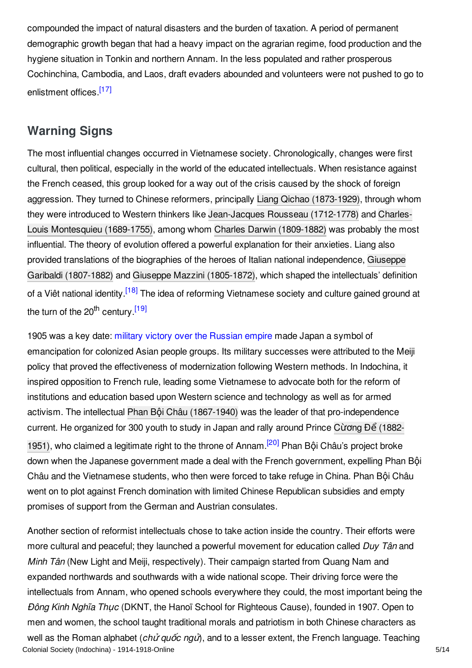compounded the impact of natural disasters and the burden of taxation. A period of permanent demographic growth began that had a heavy impact on the agrarian regime, food production and the hygiene situation in Tonkin and northern Annam. In the less populated and rather prosperous Cochinchina, Cambodia, and Laos, draft evaders abounded and volunteers were not pushed to go to enlistment offices.<sup>[\[17\]](#page-10-2)</sup>

### <span id="page-4-1"></span><span id="page-4-0"></span>**Warning Signs**

The most influential changes occurred in Vietnamese society. Chronologically, changes were first cultural, then political, especially in the world of the educated intellectuals. When resistance against the French ceased, this group looked for a way out of the crisis caused by the shock of foreign aggression. They turned to Chinese reformers, principally Liang Qichao [\(1873-1929\),](http://encyclopedia.1914-1918-online.net/index/names/118970070) through whom they were introduced to Western thinkers like [J](http://encyclopedia.1914-1918-online.net/index/names/118583670)[ean-Jacques](http://encyclopedia.1914-1918-online.net/index/names/118603426) Rousseau (1712-1778) and Charles-Louis Montesquieu (1689-1755), among whom Charles Darwin [\(1809-1882\)](http://encyclopedia.1914-1918-online.net/index/names/118523813) was probably the most influential. The theory of evolution offered a powerful explanation for their anxieties. Liang also provided translations of the biographies of the heroes of Italian national [independence,](http://encyclopedia.1914-1918-online.net/index/names/118689592) Giuseppe Garibaldi (1807-1882) and Giuseppe Mazzini [\(1805-1872\)](http://encyclopedia.1914-1918-online.net/index/names/118579754), which shaped the intellectuals' definition of a Viêt national identity.<sup>[\[18\]](#page-10-3)</sup> The idea of reforming Vietnamese society and culture gained ground at the turn of the 20<sup>th</sup> century.<sup>[\[19\]](#page-10-4)</sup>

<span id="page-4-3"></span><span id="page-4-2"></span>1905 was a key date: military victory over the [Russian](http://encyclopedia.1914-1918-online.net/article/russian-japanese-war) empire made Japan a symbol of emancipation for colonized Asian people groups. Its military successes were attributed to the Meiji policy that proved the effectiveness of modernization following Western methods. In Indochina, it inspired opposition to French rule, leading some Vietnamese to advocate both for the reform of institutions and education based upon Western science and technology as well as for armed activism. The intellectual Phan Bội Châu [\(1867-1940\)](http://encyclopedia.1914-1918-online.net/index/names/121489914) was the leader of that pro-independence current. He [organized](http://encyclopedia.1914-1918-online.net/index/names/133238083) for 300 youth to study in Japan and rally around Prince Cừơng Để (1882- 1951), who claimed a legitimate right to the throne of Annam.<sup>[\[20\]](#page-10-5)</sup> Phan Bội Châu's project broke down when the Japanese government made a deal with the French government, expelling Phan Bội Châu and the Vietnamese students, who then were forced to take refuge in China. Phan Bội Châu went on to plot against French domination with limited Chinese Republican subsidies and empty promises of support from the German and Austrian consulates.

<span id="page-4-4"></span>Another section of reformist intellectuals chose to take action inside the country. Their efforts were more cultural and peaceful; they launched a powerful movement for education called *Duy Tân* and *Minh Tân* (New Light and Meiji, respectively). Their campaign started from Quang Nam and expanded northwards and southwards with a wide national scope. Their driving force were the intellectuals from Annam, who opened schools everywhere they could, the most important being the *Đông Kinh Nghĩa Th*ụ*c* (DKNT, the Hanoï School for Righteous Cause), founded in 1907. Open to men and women, the school taught traditional morals and patriotism in both Chinese characters as well as the Roman alphabet (*ch*ử *qu*ố*c ng*ử), and to a lesser extent, the French language. Teaching Colonial Society (Indochina) - 1914-1918-Online 5/14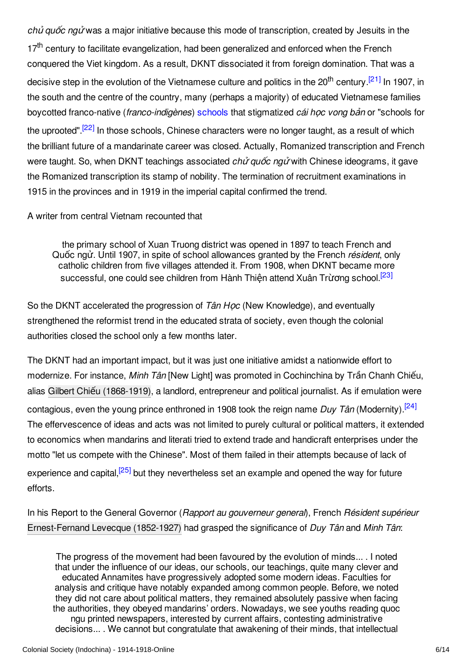<span id="page-5-0"></span>*ch*ủ *qu*ố*c ng*ử was a major initiative because this mode of transcription, created by Jesuits in the 17<sup>th</sup> century to facilitate evangelization, had been generalized and enforced when the French conquered the Viet kingdom. As a result, DKNT dissociated it from foreign domination. That was a decisive step in the evolution of the Vietnamese culture and politics in the 20<sup>th</sup> century.<sup>[\[21\]](#page-10-6)</sup> In 1907, in the south and the centre of the country, many (perhaps a majority) of educated Vietnamese families boycotted franco-native (*franco-indigènes*) [schools](http://encyclopedia.1914-1918-online.net/article/schools_and_universities) that stigmatized *cái h*ọ*c vong b*ả*n* or "schools for the uprooted".<sup>[\[22\]](#page-10-7)</sup> In those schools, Chinese characters were no longer taught, as a result of which the brilliant future of a mandarinate career was closed. Actually, Romanized transcription and French were taught. So, when DKNT teachings associated *ch*ử *qu*ố*c ng*ử with Chinese ideograms, it gave the Romanized transcription its stamp of nobility. The termination of recruitment examinations in 1915 in the provinces and in 1919 in the imperial capital confirmed the trend.

<span id="page-5-1"></span>A writer from central Vietnam recounted that

<span id="page-5-2"></span>the primary school of Xuan Truong district was opened in 1897 to teach French and Quốc ngử. Until 1907, in spite of school allowances granted by the French *résident*, only catholic children from five villages attended it. From 1908, when DKNT became more successful, one could see children from Hành Thiện attend Xuân Trừơng school.<sup>[\[23\]](#page-10-8)</sup>

So the DKNT accelerated the progression of *Tân H*ọ*c* (New Knowledge), and eventually strengthened the reformist trend in the educated strata of society, even though the colonial authorities closed the school only a few months later.

<span id="page-5-3"></span>The DKNT had an important impact, but it was just one initiative amidst a nationwide effort to modernize. For instance, *Minh Tân* [New Light] was promoted in Cochinchina by Trần Chanh Chiếu, alias Gilbert Chiếu [\(1868-1919\)](http://encyclopedia.1914-1918-online.net/index/names/1069354619), a landlord, entrepreneur and political journalist. As if emulation were contagious, even the young prince enthroned in 1908 took the reign name *Duy Tân* (Modernity). [\[24\]](#page-10-9) The effervescence of ideas and acts was not limited to purely cultural or political matters, it extended to economics when mandarins and literati tried to extend trade and handicraft enterprises under the motto "let us compete with the Chinese". Most of them failed in their attempts because of lack of experience and capital,<sup>[\[25\]](#page-10-10)</sup> but they nevertheless set an example and opened the way for future efforts.

<span id="page-5-4"></span>In his Report to the General Governor (*Rapport au gouverneur general*), French *Résident supérieur* [Ernest-Fernand](http://encyclopedia.1914-1918-online.net/index/names/1069355232) Levecque (1852-1927) had grasped the significance of *Duy Tân* and *Minh Tân*:

The progress of the movement had been favoured by the evolution of minds... . I noted that under the influence of our ideas, our schools, our teachings, quite many clever and educated Annamites have progressively adopted some modern ideas. Faculties for analysis and critique have notably expanded among common people. Before, we noted they did not care about political matters, they remained absolutely passive when facing the authorities, they obeyed mandarins' orders. Nowadays, we see youths reading quoc ngu printed newspapers, interested by current affairs, contesting administrative decisions... . We cannot but congratulate that awakening of their minds, that intellectual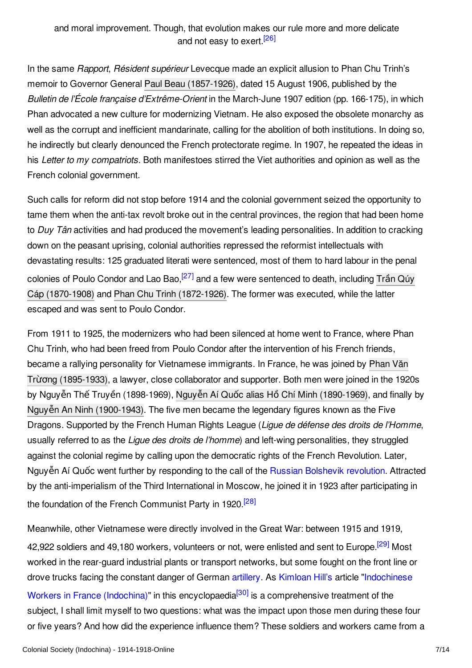<span id="page-6-0"></span>In the same *Rapport*, *Résident supérieur* Levecque made an explicit allusion to Phan Chu Trinh's memoir to Governor General Paul Beau [\(1857-1926\)](http://encyclopedia.1914-1918-online.net/index/names/1069190977), dated 15 August 1906, published by the *Bulletin de l'École française d'Extrême-Orient* in the March-June 1907 edition (pp. 166-175), in which Phan advocated a new culture for modernizing Vietnam. He also exposed the obsolete monarchy as well as the corrupt and inefficient mandarinate, calling for the abolition of both institutions. In doing so, he indirectly but clearly denounced the French protectorate regime. In 1907, he repeated the ideas in his *Letter to my compatriots.* Both manifestoes stirred the Viet authorities and opinion as well as the French colonial government.

Such calls for reform did not stop before 1914 and the colonial government seized the opportunity to tame them when the anti-tax revolt broke out in the central provinces, the region that had been home to *Duy Tân* activities and had produced the movement's leading personalities. In addition to cracking down on the peasant uprising, colonial authorities repressed the reformist intellectuals with devastating results: 125 graduated literati were sentenced, most of them to hard labour in the penal colonies of Poulo Condor and Lao Bao,<sup>[\[27\]](#page-10-12)</sup> and a few were sentenced to death, including Trần Qúy Cáp (1870-1908) and Phan Chu Trinh [\(1872-1926\).](http://encyclopedia.1914-1918-online.net/index/names/1069355755) The former was executed, while the latter escaped and was sent to Poulo Condor.

<span id="page-6-1"></span>From 1911 to 1925, the modernizers who had been silenced at home went to France, where Phan Chu Trinh, who had been freed from Poulo Condor after the intervention of his French friends, became a rallying personality for Vietnamese immigrants. In France, he was joined by Phan Văn Trừơng [\(1895-1933\),](http://encyclopedia.1914-1918-online.net/index/names/1069356417) a lawyer, close collaborator and supporter. Both men were joined in the 1920s by Nguyễn Thế Truyền (1898-1969), Nguyễn Aí Quốc alias Hồ Chí Minh [\(1890-1969\)](http://encyclopedia.1914-1918-online.net/index/names/11855168X), and finally by Nguyễn An Ninh [\(1900-1943\)](http://encyclopedia.1914-1918-online.net/index/names/1069357359). The five men became the legendary figures known as the Five Dragons. Supported by the French Human Rights League (*Ligue de défense des droits de l'Homme*, usually referred to as the *Ligue des droits de l'homme*) and left-wing personalities, they struggled against the colonial regime by calling upon the democratic rights of the French Revolution. Later, Nguyễn Aí Quốc went further by responding to the call of the Russian [Bolshevik](http://encyclopedia.1914-1918-online.net/article/revolutions_russian_empire) revolution. Attracted by the anti-imperialism of the Third International in Moscow, he joined it in 1923 after participating in the foundation of the French Communist Party in 1920.<sup>[\[28\]](#page-10-13)</sup>

<span id="page-6-3"></span><span id="page-6-2"></span>Meanwhile, other Vietnamese were directly involved in the Great War: between 1915 and 1919, 42,922 soldiers and 49,180 workers, volunteers or not, were enlisted and sent to Europe.<sup>[\[29\]](#page-10-14)</sup> Most worked in the rear-guard industrial plants or transport networks, but some fought on the front line or drove trucks facing the constant danger of German [artillery](http://encyclopedia.1914-1918-online.net/article/artillery). As [Kimloan](http://encyclopedia.1914-1918-online.net/contributors/Kimloan_Vu-Hill) Hill's article "Indochinese

<span id="page-6-4"></span>Workers in France (Indochina)" in this encyclopaedia<sup>[\[30\]](#page-11-1)</sup> is a [comprehensive](http://encyclopedia.1914-1918-online.net/article/indochinese_workers_in_france_indochina) treatment of the subject, I shall limit myself to two questions: what was the impact upon those men during these four or five years? And how did the experience influence them? These soldiers and workers came from a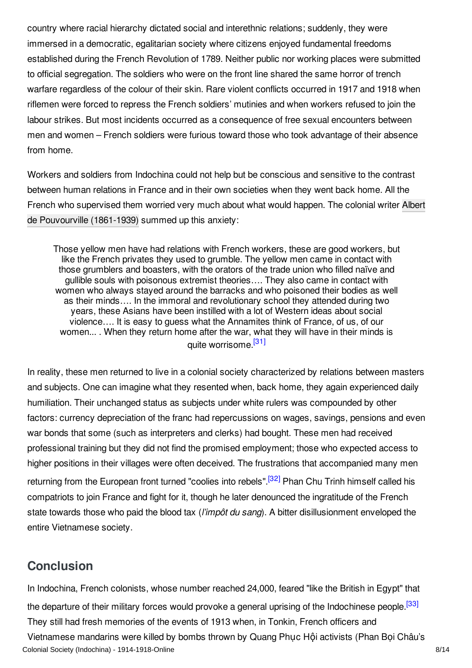country where racial hierarchy dictated social and interethnic relations; suddenly, they were immersed in a democratic, egalitarian society where citizens enjoyed fundamental freedoms established during the French Revolution of 1789. Neither public nor working places were submitted to official segregation. The soldiers who were on the front line shared the same horror of trench warfare regardless of the colour of their skin. Rare violent conflicts occurred in 1917 and 1918 when riflemen were forced to repress the French soldiers' mutinies and when workers refused to join the labour strikes. But most incidents occurred as a consequence of free sexual encounters between men and women – French soldiers were furious toward those who took advantage of their absence from home.

Workers and soldiers from Indochina could not help but be conscious and sensitive to the contrast between human relations in France and in their own societies when they went back home. All the French who supervised them worried very much about what would happen. The colonial writer Albert de [Pouvourville](http://encyclopedia.1914-1918-online.net/index/names/119098121) (1861-1939) summed up this anxiety:

<span id="page-7-1"></span>Those yellow men have had relations with French workers, these are good workers, but like the French privates they used to grumble. The yellow men came in contact with those grumblers and boasters, with the orators of the trade union who filled naïve and gullible souls with poisonous extremist theories…. They also came in contact with women who always stayed around the barracks and who poisoned their bodies as well as their minds…. In the immoral and revolutionary school they attended during two years, these Asians have been instilled with a lot of Western ideas about social violence…. It is easy to guess what the Annamites think of France, of us, of our women... . When they return home after the war, what they will have in their minds is quite worrisome.<sup>[\[31\]](#page-11-2)</sup>

In reality, these men returned to live in a colonial society characterized by relations between masters and subjects. One can imagine what they resented when, back home, they again experienced daily humiliation. Their unchanged status as subjects under white rulers was compounded by other factors: currency depreciation of the franc had repercussions on wages, savings, pensions and even war bonds that some (such as interpreters and clerks) had bought. These men had received professional training but they did not find the promised employment; those who expected access to higher positions in their villages were often deceived. The frustrations that accompanied many men returning from the European front turned "coolies into rebels".<sup>[\[32\]](#page-11-3)</sup> Phan Chu Trinh himself called his compatriots to join France and fight for it, though he later denounced the ingratitude of the French state towards those who paid the blood tax (*l'impôt du sang*). A bitter disillusionment enveloped the entire Vietnamese society.

# <span id="page-7-3"></span><span id="page-7-2"></span><span id="page-7-0"></span>**Conclusion**

In Indochina, French colonists, whose number reached 24,000, feared "like the British in Egypt" that the departure of their military forces would provoke a general uprising of the Indochinese people.<sup>[\[33\]](#page-11-4)</sup> They still had fresh memories of the events of 1913 when, in Tonkin, French officers and Vietnamese mandarins were killed by bombs thrown by Quang Phuc Hội activists (Phan Boi Châu's Colonial Society (Indochina) - 1914-1918-Online 8/14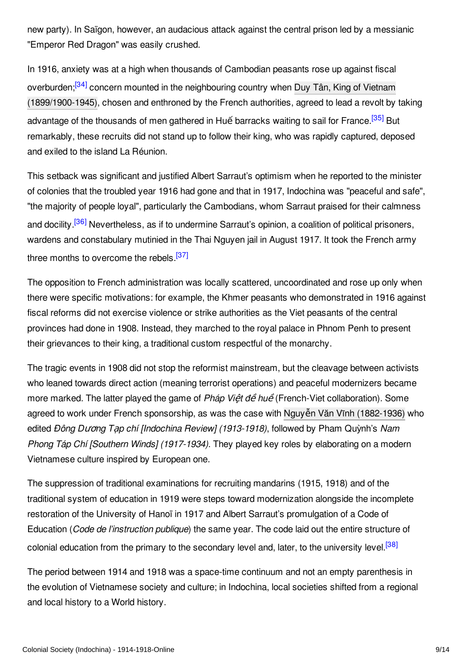new party). In Saïgon, however, an audacious attack against the central prison led by a messianic "Emperor Red Dragon" was easily crushed.

<span id="page-8-1"></span><span id="page-8-0"></span>In 1916, anxiety was at a high when thousands of Cambodian peasants rose up against fiscal overburden;<sup>[\[34\]](#page-11-5)</sup> concern mounted in the neighbouring country when Duy Tân, King of Vietnam [\(1899/1900-1945\),](http://encyclopedia.1914-1918-online.net/index/names/123618657) chosen and enthroned by the French authorities, agreed to lead a revolt by taking advantage of the thousands of men gathered in Huế barracks waiting to sail for France.<sup>[\[35\]](#page-11-6)</sup> But remarkably, these recruits did not stand up to follow their king, who was rapidly captured, deposed and exiled to the island La Réunion.

<span id="page-8-2"></span>This setback was significant and justified Albert Sarraut's optimism when he reported to the minister of colonies that the troubled year 1916 had gone and that in 1917, Indochina was "peaceful and safe", "the majority of people loyal", particularly the Cambodians, whom Sarraut praised for their calmness and docility.<sup>[\[36\]](#page-11-7)</sup> Nevertheless, as if to undermine Sarraut's opinion, a coalition of political prisoners, wardens and constabulary mutinied in the Thai Nguyen jail in August 1917. It took the French army three months to overcome the rebels.<sup>[\[37\]](#page-11-8)</sup>

<span id="page-8-3"></span>The opposition to French administration was locally scattered, uncoordinated and rose up only when there were specific motivations: for example, the Khmer peasants who demonstrated in 1916 against fiscal reforms did not exercise violence or strike authorities as the Viet peasants of the central provinces had done in 1908. Instead, they marched to the royal palace in Phnom Penh to present their grievances to their king, a traditional custom respectful of the monarchy.

The tragic events in 1908 did not stop the reformist mainstream, but the cleavage between activists who leaned towards direct action (meaning terrorist operations) and peaceful modernizers became more marked. The latter played the game of *Pháp Vi*ệ*t đ*ề *hu*ề (French-Viet collaboration). Some agreed to work under French sponsorship, as was the case with Nguyễn Văn Vĩnh [\(1882-1936\)](http://encyclopedia.1914-1918-online.net/index/names/1069357634) who edited *Đông D*ươ*ng T*ạ*p chí [Indochina Review] (1913-1918)*, followed by Pham Quỳnh's *Nam Phong Táp Chí [Southern Winds] (1917-1934)*. They played key roles by elaborating on a modern Vietnamese culture inspired by European one.

The suppression of traditional examinations for recruiting mandarins (1915, 1918) and of the traditional system of education in 1919 were steps toward modernization alongside the incomplete restoration of the University of Hanoï in 1917 and Albert Sarraut's promulgation of a Code of Education (*Code de l'instruction publique*) the same year. The code laid out the entire structure of colonial education from the primary to the secondary level and, later, to the university level.<sup>[\[38\]](#page-11-9)</sup>

<span id="page-8-4"></span>The period between 1914 and 1918 was a space-time continuum and not an empty parenthesis in the evolution of Vietnamese society and culture; in Indochina, local societies shifted from a regional and local history to a World history.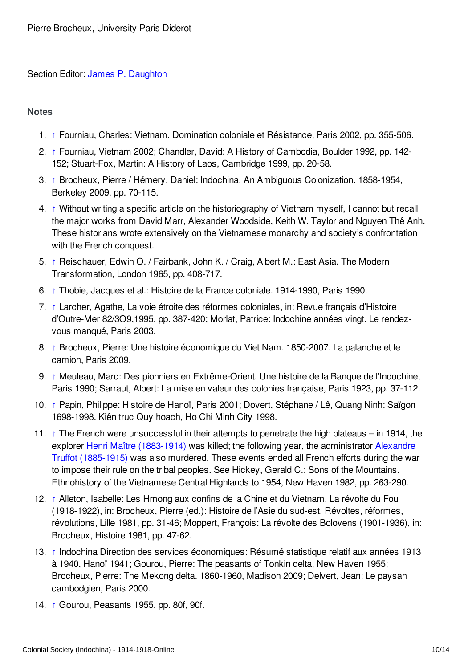### Section Editor: James P. [Daughton](http://encyclopedia.1914-1918-online.net/contributors/James_P._Daughton)

### <span id="page-9-0"></span>**Notes**

- <span id="page-9-1"></span>1. [↑](#page-0-1) Fourniau, Charles: Vietnam. Domination coloniale et Résistance, Paris 2002, pp. 355-506.
- <span id="page-9-2"></span>2. [↑](#page-1-1) Fourniau, Vietnam 2002; Chandler, David: A History of Cambodia, Boulder 1992, pp. 142- 152; Stuart-Fox, Martin: A History of Laos, Cambridge 1999, pp. 20-58.
- <span id="page-9-3"></span>3. [↑](#page-1-2) Brocheux, Pierre / Hémery, Daniel: Indochina. An Ambiguous Colonization. 1858-1954, Berkeley 2009, pp. 70-115.
- <span id="page-9-4"></span>4. [↑](#page-1-3) Without writing a specific article on the historiography of Vietnam myself, I cannot but recall the major works from David Marr, Alexander Woodside, Keith W. Taylor and Nguyen Thê Anh. These historians wrote extensively on the Vietnamese monarchy and society's confrontation with the French conquest.
- <span id="page-9-5"></span>5. [↑](#page-1-4) Reischauer, Edwin O. / Fairbank, John K. / Craig, Albert M.: East Asia. The Modern Transformation, London 1965, pp. 408-717.
- <span id="page-9-6"></span>6. [↑](#page-2-1) Thobie, Jacques et al.: Histoire de la France coloniale. 1914-1990, Paris 1990.
- <span id="page-9-7"></span>7. [↑](#page-2-2) Larcher, Agathe, La voie étroite des réformes coloniales, in: Revue français d'Histoire d'Outre-Mer 82/3O9,1995, pp. 387-420; Morlat, Patrice: Indochine années vingt. Le rendezvous manqué, Paris 2003.
- <span id="page-9-8"></span>8. [↑](#page-2-3) Brocheux, Pierre: Une histoire économique du Viet Nam. 1850-2007. La palanche et le camion, Paris 2009.
- <span id="page-9-9"></span>9. [↑](#page-2-4) Meuleau, Marc: Des pionniers en Extrême-Orient. Une histoire de la Banque de l'Indochine, Paris 1990; Sarraut, Albert: La mise en valeur des colonies française, Paris 1923, pp. 37-112.
- <span id="page-9-10"></span>10. [↑](#page-2-5) Papin, Philippe: Histoire de Hanoï, Paris 2001; Dovert, Stéphane / Lê, Quang Ninh: Saïgon 1698-1998. Kiên truc Quy hoach, Ho Chi Minh City 1998.
- <span id="page-9-11"></span>11.  $\uparrow$  The French were unsuccessful in their attempts to penetrate the high plateaus – in 1914, the explorer Henri Maître [\(1883-1914\)](http://encyclopedia.1914-1918-online.net/index/names/1069337595) was killed; the following year, the [administrator](http://encyclopedia.1914-1918-online.net/index/names/1069346535) Alexandre Truffot (1885-1915) was also murdered. These events ended all French efforts during the war to impose their rule on the tribal peoples. See Hickey, Gerald C.: Sons of the Mountains. Ethnohistory of the Vietnamese Central Highlands to 1954, New Haven 1982, pp. 263-290.
- <span id="page-9-12"></span>12. [↑](#page-3-1) Alleton, Isabelle: Les Hmong aux confins de la Chine et du Vietnam. La révolte du Fou (1918-1922), in: Brocheux, Pierre (ed.): Histoire de l'Asie du sud-est. Révoltes, réformes, révolutions, Lille 1981, pp. 31-46; Moppert, François: La révolte des Bolovens (1901-1936), in: Brocheux, Histoire 1981, pp. 47-62.
- <span id="page-9-13"></span>13. [↑](#page-3-2) Indochina Direction des services économiques: Résumé statistique relatif aux années 1913 à 1940, Hanoï 1941; Gourou, Pierre: The peasants of Tonkin delta, New Haven 1955; Brocheux, Pierre: The Mekong delta. 1860-1960, Madison 2009; Delvert, Jean: Le paysan cambodgien, Paris 2000.
- <span id="page-9-14"></span>14. [↑](#page-3-3) Gourou, Peasants 1955, pp. 80f, 90f.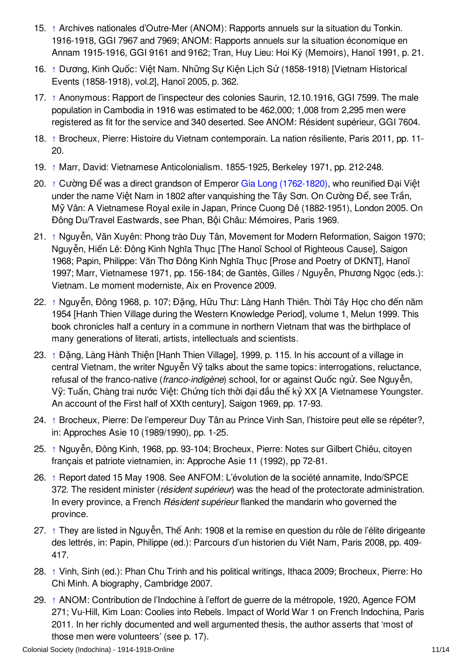- <span id="page-10-0"></span>15. [↑](#page-3-4) Archives nationales d'Outre-Mer (ANOM): Rapports annuels sur la situation du Tonkin. 1916-1918, GGI 7967 and 7969; ANOM: Rapports annuels sur la situation économique en Annam 1915-1916, GGI 9161 and 9162; Tran, Huy Lieu: Hoi Ký (Memoirs), Hanoï 1991, p. 21.
- <span id="page-10-1"></span>16. [↑](#page-3-5) Dương, Kinh Quốc: Việt Nam. Những Sự Kiện Lịch Sử (1858-1918) [Vietnam Historical Events (1858-1918), vol.2], Hanoï 2005, p. 362.
- <span id="page-10-2"></span>17. [↑](#page-4-1) Anonymous: Rapport de l'inspecteur des colonies Saurin, 12.10.1916, GGI 7599. The male population in Cambodia in 1916 was estimated to be 462,000; 1,008 from 2,295 men were registered as fit for the service and 340 deserted. See ANOM: Résident supérieur, GGI 7604.
- <span id="page-10-3"></span>18. [↑](#page-4-2) Brocheux, Pierre: Histoire du Vietnam contemporain. La nation résiliente, Paris 2011, pp. 11- 20.
- <span id="page-10-4"></span>19. [↑](#page-4-3) Marr, David: Vietnamese Anticolonialism. 1855-1925, Berkeley 1971, pp. 212-248.
- <span id="page-10-5"></span>20. [↑](#page-4-4) Cường Để was a direct grandson of Emperor Gia Long [\(1762-1820\)](http://encyclopedia.1914-1918-online.net/index/names/1069354015), who reunified Đại Việt under the name Việt Nam in 1802 after vanquishing the Tây Sơn. On Cường Để, see Trần, Mỹ Vân: A Vietnamese Royal exile in Japan, Prince Cuong Dê (1882-1951), London 2005. On Đông Du/Travel Eastwards, see Phan, Bội Châu: Mémoires, Paris 1969.
- <span id="page-10-6"></span>21. [↑](#page-5-0) Nguyễn, Văn Xuyên: Phong trào Duy Tân, Movement for Modern Reformation, Saigon 1970; Nguyễn, Hiến Lê: Đông Kinh Nghĩa Thục [The Hanoï School of Righteous Cause], Saigon 1968; Papin, Philippe: Văn Thơ Đông Kinh Nghĩa Thục [Prose and Poetry of DKNT], Hanoï 1997; Marr, Vietnamese 1971, pp. 156-184; de Gantès, Gilles / Nguyễn, Phương Ngọc (eds.): Vietnam. Le moment moderniste, Aix en Provence 2009.
- <span id="page-10-7"></span>22. [↑](#page-5-1) Nguyễn, Đông 1968, p. 107; Đặng, Hữu Thư: Làng Hanh Thiên. Thời Tây Học cho đến năm 1954 [Hanh Thien Village during the Western Knowledge Period], volume 1, Melun 1999. This book chronicles half a century in a commune in northern Vietnam that was the birthplace of many generations of literati, artists, intellectuals and scientists.
- <span id="page-10-8"></span>23. [↑](#page-5-2) Đặng, Làng Hành Thiện [Hanh Thien Village], 1999, p. 115. In his account of a village in central Vietnam, the writer Nguyễn Vỹ talks about the same topics: interrogations, reluctance, refusal of the franco-native (*franco-indigène*) school, for or against Quốc ngử. See Nguyễn, Vỹ: Tuấn, Chàng trai nước Việt: Chứng tích thời đại đầu thế kỷ XX [A Vietnamese Youngster. An account of the First half of XXth century], Saigon 1969, pp. 17-93.
- <span id="page-10-9"></span>24. [↑](#page-5-3) Brocheux, Pierre: De l'empereur Duy Tân au Prince Vinh San, l'histoire peut elle se répéter?, in: Approches Asie 10 (1989/1990), pp. 1-25.
- <span id="page-10-10"></span>25. [↑](#page-5-4) Nguyễn, Đông Kinh, 1968, pp. 93-104; Brocheux, Pierre: Notes sur Gilbert Chiêu, citoyen français et patriote vietnamien, in: Approche Asie 11 (1992), pp 72-81.
- <span id="page-10-11"></span>26. [↑](#page-6-0) Report dated 15 May 1908. See ANFOM: L'évolution de la société annamite, Indo/SPCE 372. The resident minister (*résident supérieur*) was the head of the protectorate administration. In every province, a French *Résident supérieur* flanked the mandarin who governed the province.
- <span id="page-10-12"></span>27. [↑](#page-6-1) They are listed in Nguyễn, Thế Anh: 1908 et la remise en question du rôle de l'élite dirigeante des lettrés, in: Papin, Philippe (ed.): Parcours d'un historien du Viêt Nam, Paris 2008, pp. 409- 417.
- <span id="page-10-13"></span>28. [↑](#page-6-2) Vinh, Sinh (ed.): Phan Chu Trinh and his political writings, Ithaca 2009; Brocheux, Pierre: Ho Chi Minh. A biography, Cambridge 2007.
- <span id="page-10-14"></span>29. [↑](#page-6-3) ANOM: Contribution de l'Indochine à l'effort de guerre de la métropole, 1920, Agence FOM 271; Vu-Hill, Kim Loan: Coolies into Rebels. Impact of World War 1 on French Indochina, Paris 2011. In her richly documented and well argumented thesis, the author asserts that 'most of those men were volunteers' (see p. 17).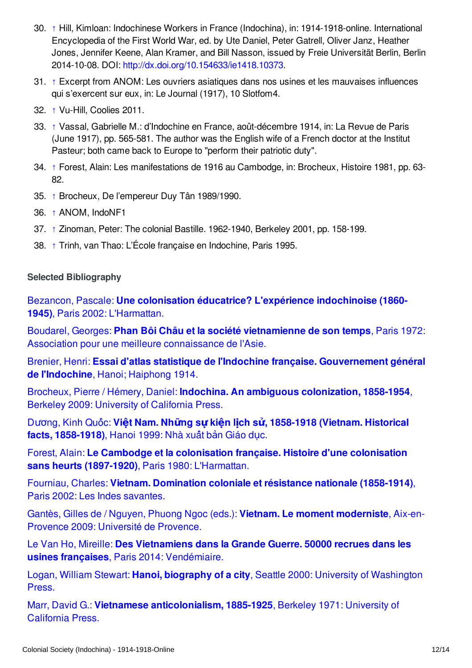- <span id="page-11-1"></span>30. [↑](#page-6-4) Hill, Kimloan: Indochinese Workers in France (Indochina), in: 1914-1918-online. International Encyclopedia of the First World War, ed. by Ute Daniel, Peter Gatrell, Oliver Janz, Heather Jones, Jennifer Keene, Alan Kramer, and Bill Nasson, issued by Freie Universität Berlin, Berlin 2014-10-08. DOI: <http://dx.doi.org/10.154633/ie1418.10373>.
- <span id="page-11-2"></span>31. [↑](#page-7-1) Excerpt from ANOM: Les ouvriers asiatiques dans nos usines et les mauvaises influences qui s'exercent sur eux, in: Le Journal (1917), 10 Slotfom4.
- <span id="page-11-3"></span>32. [↑](#page-7-2) Vu-Hill, Coolies 2011.
- <span id="page-11-4"></span>33. [↑](#page-7-3) Vassal, Gabrielle M.: d'Indochine en France, août-décembre 1914, in: La Revue de Paris (June 1917), pp. 565-581. The author was the English wife of a French doctor at the Institut Pasteur; both came back to Europe to "perform their patriotic duty".
- <span id="page-11-5"></span>34. [↑](#page-8-0) Forest, Alain: Les manifestations de 1916 au Cambodge, in: Brocheux, Histoire 1981, pp. 63- 82.
- <span id="page-11-6"></span>35. [↑](#page-8-1) Brocheux, De l'empereur Duy Tân 1989/1990.
- <span id="page-11-7"></span>36. [↑](#page-8-2) ANOM, IndoNF1
- <span id="page-11-8"></span>37. [↑](#page-8-3) Zinoman, Peter: The colonial Bastille. 1962-1940, Berkeley 2001, pp. 158-199.
- <span id="page-11-9"></span>38. [↑](#page-8-4) Trinh, van Thao: L'École française en Indochine, Paris 1995.

### <span id="page-11-0"></span>**Selected Bibliography**

Bezancon, Pascale: **Une colonisation éducatrice? L'expérience [indochinoise](http://encyclopedia.1914-1918-online.net/bibliography/Z3WDVPIK) (1860- 1945)**, Paris 2002: L'Harmattan.

Boudarel, Georges: **Phan Bôi Châu et la société [vietnamienne](http://encyclopedia.1914-1918-online.net/bibliography/67HIH4QX) de son temps**, Paris 1972: Association pour une meilleure connaissance de l'Asie.

Brenier, Henri: **Essai d'atlas statistique de l'Indochine française. [Gouvernement](http://encyclopedia.1914-1918-online.net/bibliography/74IH45HT) général de l'Indochine**, Hanoi; Haiphong 1914.

Brocheux, Pierre / Hémery, Daniel: **Indochina. An ambiguous [colonization,](http://encyclopedia.1914-1918-online.net/bibliography/5WXNPEAG) 1858-1954**, Berkeley 2009: University of California Press.

Dương, Kinh Quốc: Việt Nam. Những sư kiện lịch sử, 1858-1918 (Vietnam. Historical **facts, [1858-1918\)](http://encyclopedia.1914-1918-online.net/bibliography/6DAXZXX9)**, Hanoi 1999: Nhà xuá̂t bản Giáo dục.

Forest, Alain: **Le Cambodge et la [colonisation](http://encyclopedia.1914-1918-online.net/bibliography/CI8AZZUD) française. Histoire d'une colonisation sans heurts (1897-1920)**, Paris 1980: L'Harmattan.

Fourniau, Charles: **Vietnam. [Domination](http://encyclopedia.1914-1918-online.net/bibliography/IXUBBPI6) coloniale et résistance nationale (1858-1914)**, Paris 2002: Les Indes savantes.

Gantès, Gilles de / Nguyen, Phuong Ngoc (eds.): **Vietnam. Le moment [moderniste](http://encyclopedia.1914-1918-online.net/bibliography/WW4QS7TA)**, Aix-en-Provence 2009: Université de Provence.

Le Van Ho, Mireille: **Des [Vietnamiens](http://encyclopedia.1914-1918-online.net/bibliography/3TUSN5QE) dans la Grande Guerre. 50000 recrues dans les usines françaises**, Paris 2014: Vendémiaire.

Logan, William Stewart: **Hanoi, biography of a city**, Seattle 2000: University of [Washington](http://encyclopedia.1914-1918-online.net/bibliography/FW7D6GTP) Press.

Marr, David G.: **Vietnamese [anticolonialism,](http://encyclopedia.1914-1918-online.net/bibliography/ITH9RUZK) 1885-1925**, Berkeley 1971: University of California Press.